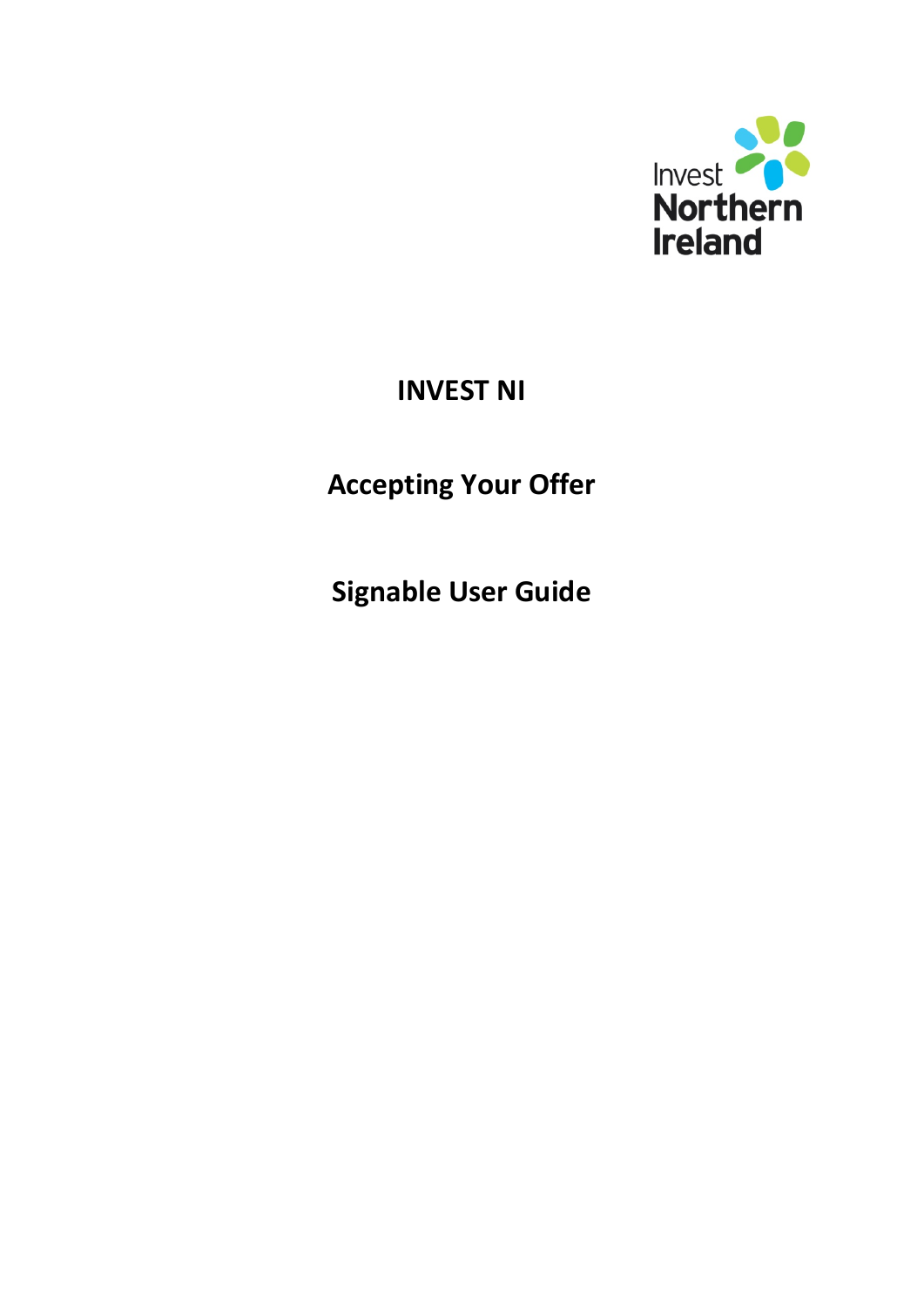

## **INVEST NI**

# **Accepting Your Offer**

**Signable User Guide**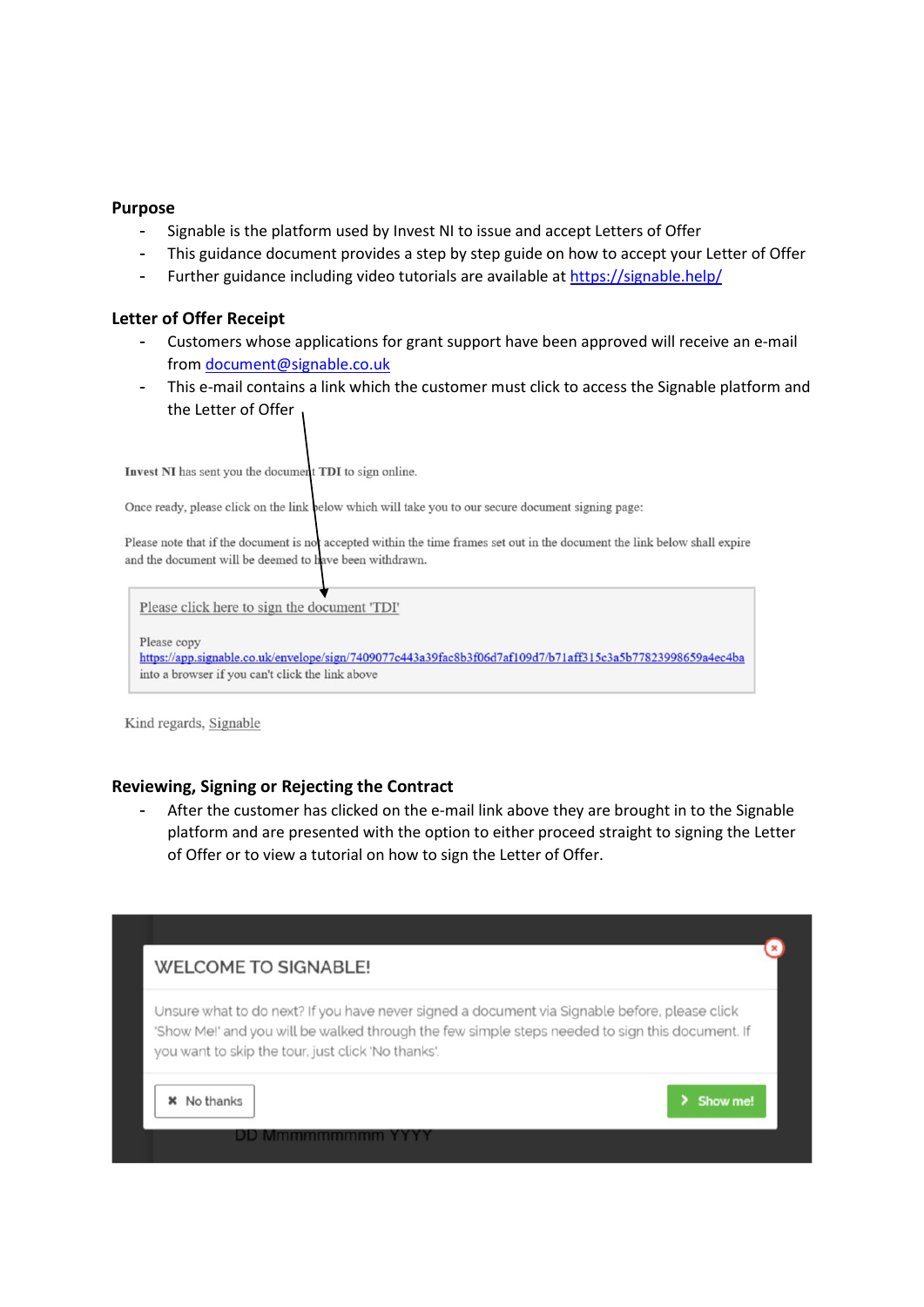### **Purpose**

- Signable is the platform used by Invest NI to issue and accept Letters of Offer
- This guidance document provides a step by step guide on how to accept your Letter of Offer
- Further guidance including video tutorials are available at<https://signable.help/>

#### **Letter of Offer Receipt**

- Customers whose applications for grant support have been approved will receive an e-mail from [document@signable.co.uk](mailto:document@signable.co.uk)
- This e-mail contains a link which the customer must click to access the Signable platform and the Letter of Offer

Invest NI has sent you the document TDI to sign online.

Once ready, please click on the link below which will take you to our secure document signing page:

Please note that if the document is not accepted within the time frames set out in the document the link below shall expire and the document will be deemed to have been withdrawn.

Please click here to sign the document 'TDI'

Please conv

https://app.signable.co.uk/envelope/sign/7409077c443a39fac8b3f06d7af109d7/b71aff315c3a5b77823998659a4ec4ba into a browser if you can't click the link above

Kind regards, Signable

#### **Reviewing, Signing or Rejecting the Contract**

- After the customer has clicked on the e-mail link above they are brought in to the Signable platform and are presented with the option to either proceed straight to signing the Letter of Offer or to view a tutorial on how to sign the Letter of Offer.

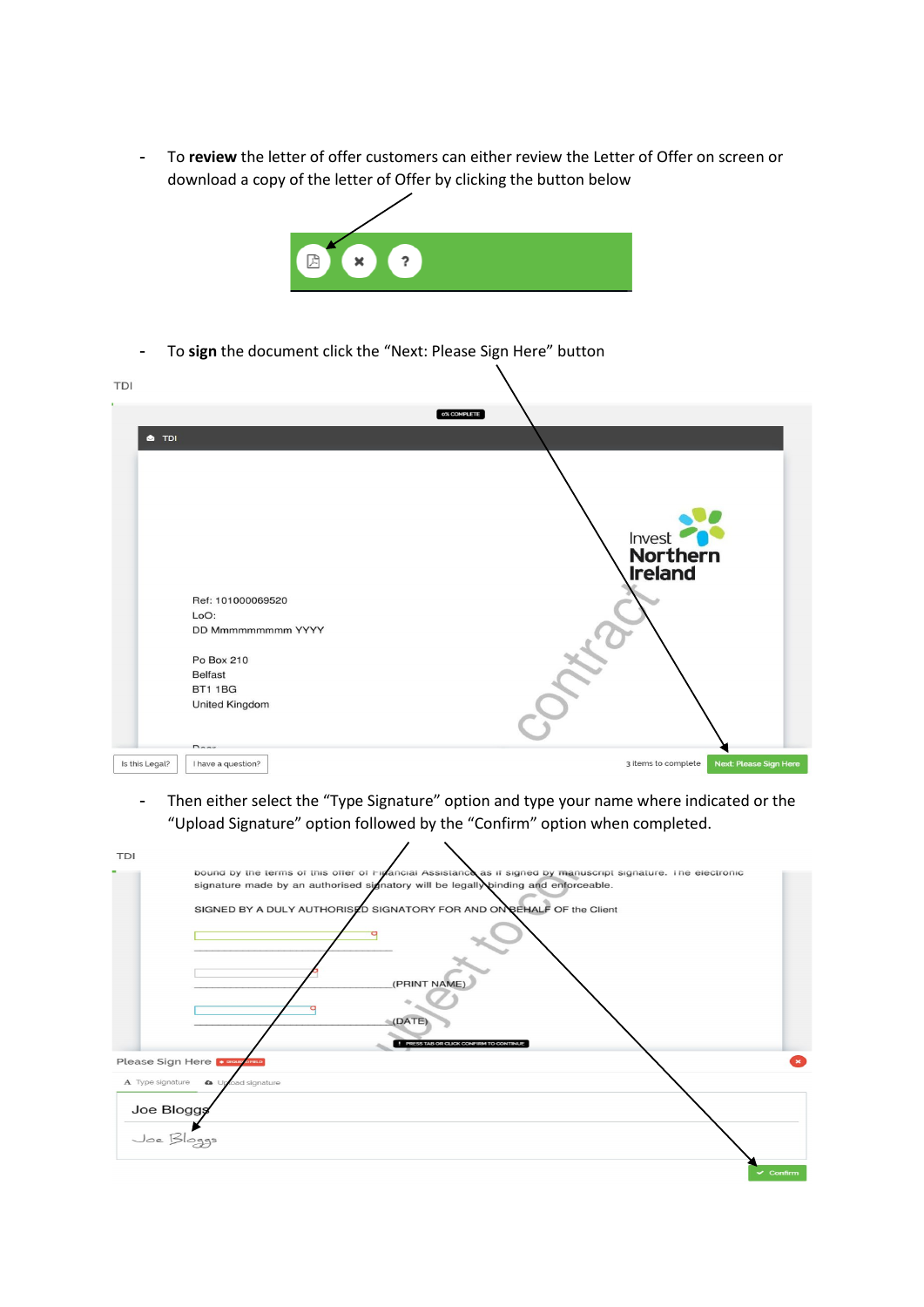- To **review** the letter of offer customers can either review the Letter of Offer on screen or download a copy of the letter of Offer by clicking the button below



- To **sign** the document click the "Next: Please Sign Here" button

| <b>TDI</b>     |                                                                                                                                                      |                                                      |
|----------------|------------------------------------------------------------------------------------------------------------------------------------------------------|------------------------------------------------------|
| <b>S</b> TDI   | Ref: 101000069520<br>LoO:<br><b>DD Mmmmmmmmm YYYY</b><br>Po Box 210<br><b>Belfast</b><br><b>BT1 1BG</b><br><b>United Kingdom</b><br>$n_{\text{max}}$ | 0% COMPLETE<br>Invest<br>Northern<br><b>Ireland</b>  |
| Is this Legal? | I have a question?                                                                                                                                   | 3 items to complete<br><b>Next: Please Sign Here</b> |

- Then either select the "Type Signature" option and type your name where indicated or the "Upload Signature" option followed by the "Confirm" option when completed.

| <b>TDI</b>       |                                                                                                                                                                                                     |
|------------------|-----------------------------------------------------------------------------------------------------------------------------------------------------------------------------------------------------|
|                  | bound by the terms of this offer of Figuncial Assistance as if signed by manuscript signature. The electronic<br>signature made by an authorised signatory will be legally binding and enforceable. |
|                  | SIGNED BY A DULY AUTHORISTO SIGNATORY FOR AND ON BEHALF OF the Client                                                                                                                               |
|                  | (PRINT NAME)                                                                                                                                                                                        |
|                  | (DATE)<br>PRESS TAB OR CLICK CONFIRM TO CONTINUE                                                                                                                                                    |
|                  | Please Sign Here <b>* ROUGE OF REA</b>                                                                                                                                                              |
| A Type signature | <b>a</b> Upload signature                                                                                                                                                                           |
| Joe Bloggs       |                                                                                                                                                                                                     |
| Joe Bloggs       |                                                                                                                                                                                                     |
|                  | $\vee$ Confirm                                                                                                                                                                                      |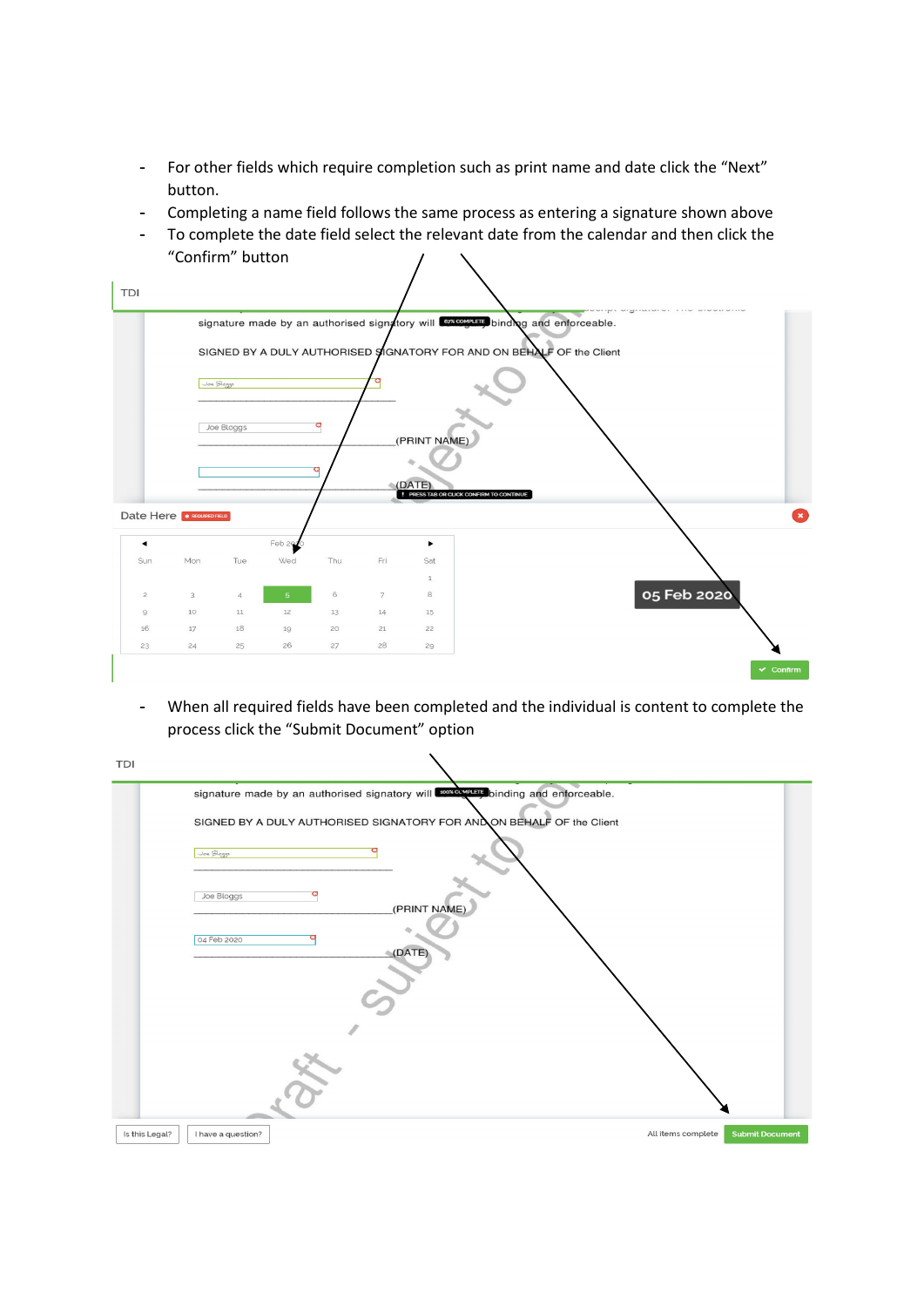- For other fields which require completion such as print name and date click the "Next" button.
- Completing a name field follows the same process as entering a signature shown above
- To complete the date field select the relevant date from the calendar and then click the "Confirm" button



- When all required fields have been completed and the individual is content to complete the process click the "Submit Document" option

| <b>TDI</b>     |                                                                                        |                                              |  |
|----------------|----------------------------------------------------------------------------------------|----------------------------------------------|--|
|                | signature made by an authorised signatory will <b>concern binding</b> and enforceable. |                                              |  |
|                | SIGNED BY A DULY AUTHORISED SIGNATORY FOR ANDON BEHALF OF the Client                   |                                              |  |
|                | Joe Bloggs                                                                             |                                              |  |
|                | Joe Bloggs<br>(PRINT NAME)                                                             |                                              |  |
|                | 04 Feb 2020<br>(DATE)                                                                  |                                              |  |
|                |                                                                                        |                                              |  |
|                |                                                                                        |                                              |  |
|                |                                                                                        |                                              |  |
| Is this Legal? | I have a question?                                                                     | All items complete<br><b>Submit Document</b> |  |